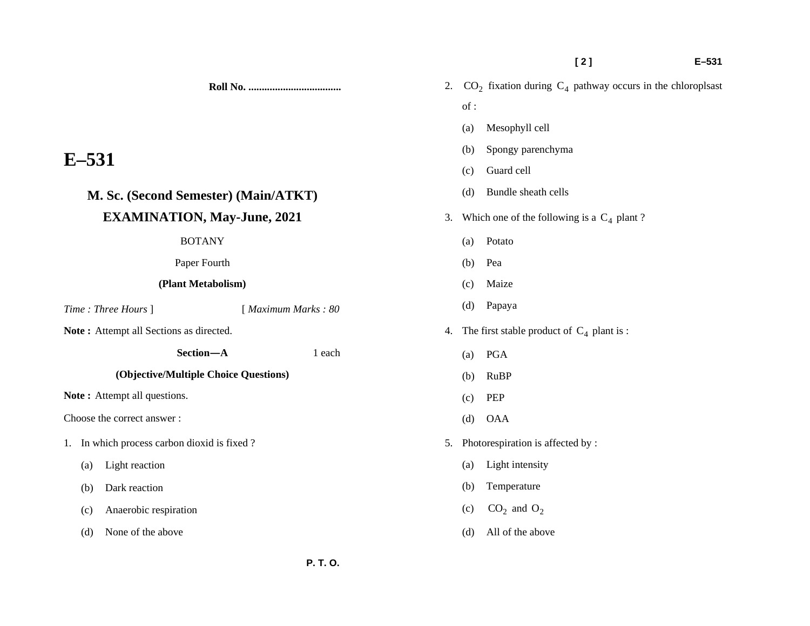**[ 2 ] E–531** 

**Roll No. ...................................** 

# **E–531**

## **M. Sc. (Second Semester) (Main/ATKT) EXAMINATION, May-June, 2021**

### BOTANY

Paper Fourth

## **(Plant Metabolism)**

*Time : Three Hours* ] [ *Maximum Marks : 80* 

Note: Attempt all Sections as directed.

 **Section—A** 1 each

## **(Objective/Multiple Choice Questions)**

Note: Attempt all questions.

Choose the correct answer :

- 1. In which process carbon dioxid is fixed ?
	- (a) Light reaction
	- (b) Dark reaction
	- (c) Anaerobic respiration
	- (d) None of the above
- 2.  $CO<sub>2</sub>$  fixation during  $C<sub>4</sub>$  pathway occurs in the chloroplsast of : (a) Mesophyll cell (b) Spongy parenchyma (c) Guard cell (d) Bundle sheath cells 3. Which one of the following is a  $C_4$  plant? (a) Potato (b) Pea (c) Maize (d) Papaya
- 4. The first stable product of  $C_4$  plant is :
	- (a) PGA
	- (b) RuBP
	- (c) PEP
	- (d) OAA
- 5. Photorespiration is affected by :
	- (a) Light intensity
	- (b) Temperature
	- (c)  $CO_2$  and  $O_2$
	- (d) All of the above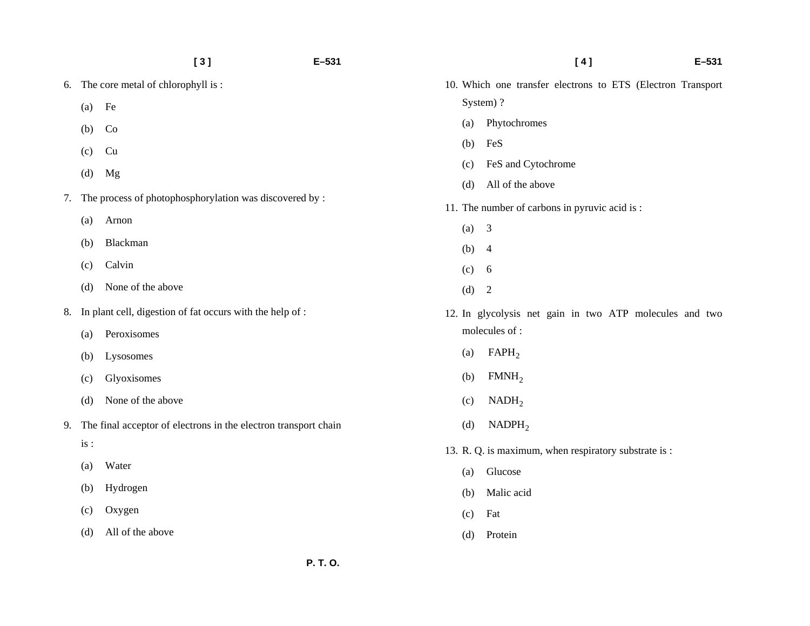|    |     | [3]                                                             | $E - 531$ |     | [4]<br>$E - 531$                                            |  |  |
|----|-----|-----------------------------------------------------------------|-----------|-----|-------------------------------------------------------------|--|--|
| 6. |     | The core metal of chlorophyll is:                               |           |     | 10. Which one transfer electrons to ETS (Electron Transport |  |  |
|    | (a) | Fe                                                              |           |     | System)?                                                    |  |  |
|    | (b) | Co                                                              |           | (a) | Phytochromes                                                |  |  |
|    | (c) | Cu                                                              |           | (b) | FeS                                                         |  |  |
|    | (d) | Mg                                                              |           | (c) | FeS and Cytochrome                                          |  |  |
| 7. |     | The process of photophosphorylation was discovered by :         |           | (d) | All of the above                                            |  |  |
|    | (a) | Arnon                                                           |           |     | 11. The number of carbons in pyruvic acid is:               |  |  |
|    | (b) | Blackman                                                        |           | (a) | $\overline{3}$                                              |  |  |
|    | (c) | Calvin                                                          |           | (b) | $\overline{4}$                                              |  |  |
|    |     | None of the above                                               |           | (c) | 6                                                           |  |  |
|    | (d) |                                                                 |           | (d) | $\overline{2}$                                              |  |  |
| 8. |     | In plant cell, digestion of fat occurs with the help of :       |           |     | 12. In glycolysis net gain in two ATP molecules and two     |  |  |
|    | (a) | Peroxisomes                                                     |           |     | molecules of:                                               |  |  |
|    | (b) | Lysosomes                                                       |           | (a) | FAPH <sub>2</sub>                                           |  |  |
|    | (c) | Glyoxisomes                                                     |           | (b) | FMMH <sub>2</sub>                                           |  |  |
|    | (d) | None of the above                                               |           | (c) | NADH <sub>2</sub>                                           |  |  |
| 9. |     | The final acceptor of electrons in the electron transport chain |           | (d) | NADPH <sub>2</sub>                                          |  |  |
|    | is: |                                                                 |           |     | 13. R. Q. is maximum, when respiratory substrate is :       |  |  |
|    | (a) | Water                                                           |           | (a) | Glucose                                                     |  |  |
|    | (b) | Hydrogen                                                        |           | (b) | Malic acid                                                  |  |  |
|    | (c) | Oxygen                                                          |           | (c) | Fat                                                         |  |  |
|    | (d) | All of the above                                                |           | (d) | Protein                                                     |  |  |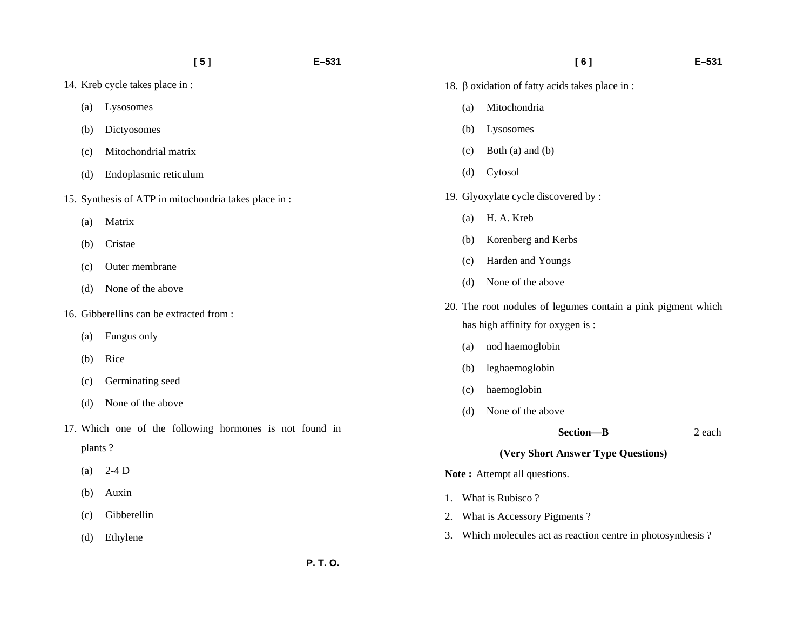- 14. Kreb cycle takes place in :
	- (a) Lysosomes
	- (b) Dictyosomes
	- (c) Mitochondrial matrix
	- (d) Endoplasmic reticulum
- 15. Synthesis of ATP in mitochondria takes place in :
	- (a) Matrix
	- (b) Cristae
	- (c) Outer membrane
	- (d) None of the above
- 16. Gibberellins can be extracted from :
	- (a) Fungus only
	- (b) Rice
	- (c) Germinating seed
	- (d) None of the above
- 17. Which one of the following hormones is not found in plants ?
	- (a)  $2-4D$
	- (b) Auxin
	- (c) Gibberellin
	- (d) Ethylene
- 18. β oxidation of fatty acids takes place in :
	- (a) Mitochondria
	- (b) Lysosomes
	- (c) Both (a) and (b)
	- (d) Cytosol
- 19. Glyoxylate cycle discovered by :
	- (a) H. A. Kreb
	- (b) Korenberg and Kerbs
	- (c) Harden and Youngs
	- (d) None of the above
- 20. The root nodules of legumes contain a pink pigment which has high affinity for oxygen is :
	- (a) nod haemoglobin
	- (b) leghaemoglobin
	- (c) haemoglobin
	- (d) None of the above
		- **Section—B** 2 each

#### **(Very Short Answer Type Questions)**

**Note:** Attempt all questions.

- 1. What is Rubisco ?
- 2. What is Accessory Pigments ?
- 3. Which molecules act as reaction centre in photosynthesis ?